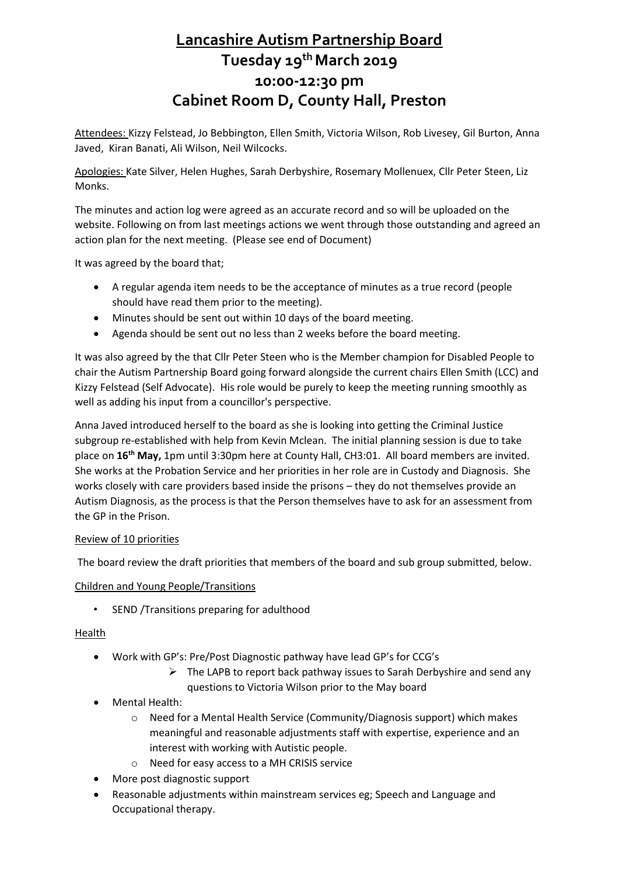# **Lancashire Autism Partnership Board Tuesday 19th March 2019 10:00-12:30 pm Cabinet Room D, County Hall, Preston**

Attendees: Kizzy Felstead, Jo Bebbington, Ellen Smith, Victoria Wilson, Rob Livesey, Gil Burton, Anna Javed, Kiran Banati, Ali Wilson, Neil Wilcocks.

Apologies: Kate Silver, Helen Hughes, Sarah Derbyshire, Rosemary Mollenuex, Cllr Peter Steen, Liz Monks.

The minutes and action log were agreed as an accurate record and so will be uploaded on the website. Following on from last meetings actions we went through those outstanding and agreed an action plan for the next meeting. (Please see end of Document)

It was agreed by the board that;

- A regular agenda item needs to be the acceptance of minutes as a true record (people should have read them prior to the meeting).
- Minutes should be sent out within 10 days of the board meeting.
- Agenda should be sent out no less than 2 weeks before the board meeting.

It was also agreed by the that Cllr Peter Steen who is the Member champion for Disabled People to chair the Autism Partnership Board going forward alongside the current chairs Ellen Smith (LCC) and Kizzy Felstead (Self Advocate). His role would be purely to keep the meeting running smoothly as well as adding his input from a councillor's perspective.

Anna Javed introduced herself to the board as she is looking into getting the Criminal Justice subgroup re-established with help from Kevin Mclean. The initial planning session is due to take place on **16th May,** 1pm until 3:30pm here at County Hall, CH3:01. All board members are invited. She works at the Probation Service and her priorities in her role are in Custody and Diagnosis. She works closely with care providers based inside the prisons – they do not themselves provide an Autism Diagnosis, as the process is that the Person themselves have to ask for an assessment from the GP in the Prison.

## Review of 10 priorities

The board review the draft priorities that members of the board and sub group submitted, below.

## Children and Young People/Transitions

• SEND /Transitions preparing for adulthood

# Health

- Work with GP's: Pre/Post Diagnostic pathway have lead GP's for CCG's
	- $\triangleright$  The LAPB to report back pathway issues to Sarah Derbyshire and send any questions to Victoria Wilson prior to the May board
- Mental Health:
	- o Need for a Mental Health Service (Community/Diagnosis support) which makes meaningful and reasonable adjustments staff with expertise, experience and an interest with working with Autistic people.
	- o Need for easy access to a MH CRISIS service
- More post diagnostic support
- Reasonable adjustments within mainstream services eg; Speech and Language and Occupational therapy.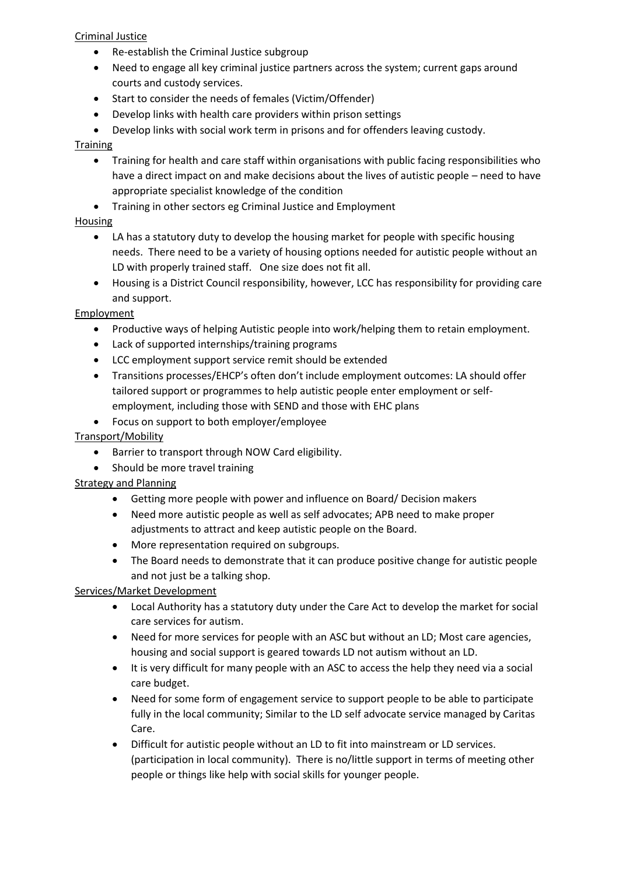# Criminal Justice

- Re-establish the Criminal Justice subgroup
- Need to engage all key criminal justice partners across the system; current gaps around courts and custody services.
- Start to consider the needs of females (Victim/Offender)
- Develop links with health care providers within prison settings
- Develop links with social work term in prisons and for offenders leaving custody.

# **Training**

- Training for health and care staff within organisations with public facing responsibilities who have a direct impact on and make decisions about the lives of autistic people – need to have appropriate specialist knowledge of the condition
- Training in other sectors eg Criminal Justice and Employment

# Housing

- LA has a statutory duty to develop the housing market for people with specific housing needs. There need to be a variety of housing options needed for autistic people without an LD with properly trained staff. One size does not fit all.
- Housing is a District Council responsibility, however, LCC has responsibility for providing care and support.

# **Employment**

- Productive ways of helping Autistic people into work/helping them to retain employment.
- Lack of supported internships/training programs
- LCC employment support service remit should be extended
- Transitions processes/EHCP's often don't include employment outcomes: LA should offer tailored support or programmes to help autistic people enter employment or selfemployment, including those with SEND and those with EHC plans
- Focus on support to both employer/employee

# Transport/Mobility

- Barrier to transport through NOW Card eligibility.
- Should be more travel training

## Strategy and Planning

- Getting more people with power and influence on Board/ Decision makers
- Need more autistic people as well as self advocates; APB need to make proper adjustments to attract and keep autistic people on the Board.
- More representation required on subgroups.
- The Board needs to demonstrate that it can produce positive change for autistic people and not just be a talking shop.

## Services/Market Development

- Local Authority has a statutory duty under the Care Act to develop the market for social care services for autism.
- Need for more services for people with an ASC but without an LD; Most care agencies, housing and social support is geared towards LD not autism without an LD.
- It is very difficult for many people with an ASC to access the help they need via a social care budget.
- Need for some form of engagement service to support people to be able to participate fully in the local community; Similar to the LD self advocate service managed by Caritas Care.
- Difficult for autistic people without an LD to fit into mainstream or LD services. (participation in local community). There is no/little support in terms of meeting other people or things like help with social skills for younger people.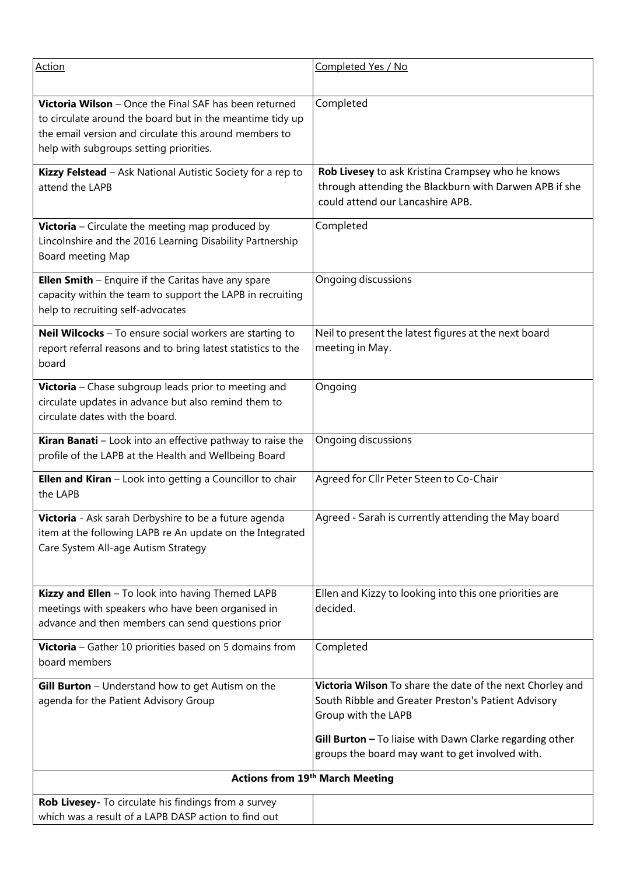| <b>Action</b>                                                                                                                                                                                                            | Completed Yes / No                                                                                                                                                                                  |
|--------------------------------------------------------------------------------------------------------------------------------------------------------------------------------------------------------------------------|-----------------------------------------------------------------------------------------------------------------------------------------------------------------------------------------------------|
| Victoria Wilson - Once the Final SAF has been returned<br>to circulate around the board but in the meantime tidy up<br>the email version and circulate this around members to<br>help with subgroups setting priorities. | Completed                                                                                                                                                                                           |
| Kizzy Felstead - Ask National Autistic Society for a rep to<br>attend the LAPB                                                                                                                                           | Rob Livesey to ask Kristina Crampsey who he knows<br>through attending the Blackburn with Darwen APB if she<br>could attend our Lancashire APB.                                                     |
| <b>Victoria</b> – Circulate the meeting map produced by<br>Lincolnshire and the 2016 Learning Disability Partnership<br>Board meeting Map                                                                                | Completed                                                                                                                                                                                           |
| <b>Ellen Smith</b> - Enquire if the Caritas have any spare<br>capacity within the team to support the LAPB in recruiting<br>help to recruiting self-advocates                                                            | Ongoing discussions                                                                                                                                                                                 |
| Neil Wilcocks - To ensure social workers are starting to<br>report referral reasons and to bring latest statistics to the<br>board                                                                                       | Neil to present the latest figures at the next board<br>meeting in May.                                                                                                                             |
| Victoria - Chase subgroup leads prior to meeting and<br>circulate updates in advance but also remind them to<br>circulate dates with the board.                                                                          | Ongoing                                                                                                                                                                                             |
| Kiran Banati - Look into an effective pathway to raise the<br>profile of the LAPB at the Health and Wellbeing Board                                                                                                      | Ongoing discussions                                                                                                                                                                                 |
| Ellen and Kiran - Look into getting a Councillor to chair<br>the LAPB                                                                                                                                                    | Agreed for Cllr Peter Steen to Co-Chair                                                                                                                                                             |
| Victoria - Ask sarah Derbyshire to be a future agenda<br>item at the following LAPB re An update on the Integrated<br>Care System All-age Autism Strategy                                                                | Agreed - Sarah is currently attending the May board                                                                                                                                                 |
| Kizzy and Ellen - To look into having Themed LAPB<br>meetings with speakers who have been organised in<br>advance and then members can send questions prior                                                              | Ellen and Kizzy to looking into this one priorities are<br>decided.                                                                                                                                 |
| Victoria - Gather 10 priorities based on 5 domains from<br>board members                                                                                                                                                 | Completed                                                                                                                                                                                           |
| Gill Burton - Understand how to get Autism on the<br>agenda for the Patient Advisory Group                                                                                                                               | Victoria Wilson To share the date of the next Chorley and<br>South Ribble and Greater Preston's Patient Advisory<br>Group with the LAPB<br>Gill Burton - To liaise with Dawn Clarke regarding other |
|                                                                                                                                                                                                                          | groups the board may want to get involved with.                                                                                                                                                     |
| <b>Actions from 19th March Meeting</b>                                                                                                                                                                                   |                                                                                                                                                                                                     |
| Rob Livesey- To circulate his findings from a survey<br>which was a result of a LAPB DASP action to find out                                                                                                             |                                                                                                                                                                                                     |